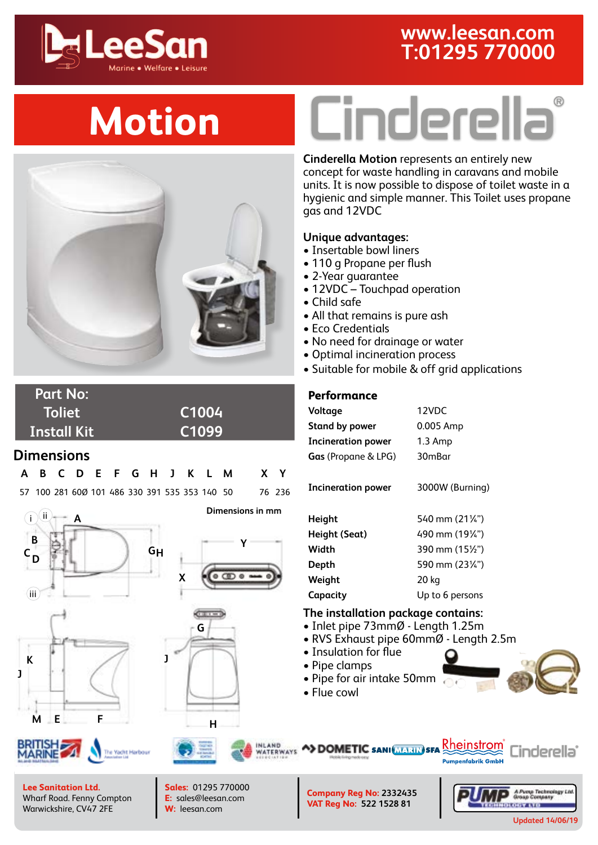### **www.leesan.com T:01295 770000**



## **Motion**



**Part No: Toliet [C1004](https://www.leesan.com/shop/cinderella-motion-incinerator-toilet.aspx) Install Kit [C1099](https://www.leesan.com/shop/cinderella-motion-installation-kit.aspx)**

#### **Dimensions**

|  |  |  |  |  |  | A B C D E F G H J K L M X Y                          |  |
|--|--|--|--|--|--|------------------------------------------------------|--|
|  |  |  |  |  |  | 57 100 281 600 101 486 330 391 535 353 140 50 76 236 |  |



**G J <sup>H</sup> <sup>F</sup>**

**Y**

 $0.0000$ 

**Dimensions in mm**

**X**

# Cinderella®

**Cinderella Motion** represents an entirely new concept for waste handling in caravans and mobile units. It is now possible to dispose of toilet waste in a hygienic and simple manner. This Toilet uses propane gas and 12VDC

#### **Unique advantages:**

- Insertable bowl liners
- 110 g Propane per flush
- 2-Year guarantee
- 12VDC Touchpad operation
- Child safe
- All that remains is pure ash
- Eco Credentials
- No need for drainage or water
- Optimal incineration process
- Suitable for mobile & off grid applications

#### **Performance**

| Voltage                    | 12VDC           |
|----------------------------|-----------------|
| Stand by power             | 0.005 Amp       |
| Incineration power         | $1.3$ Amp       |
| <b>Gas</b> (Propane & LPG) | 30mBar          |
| <b>Incineration power</b>  | 3000W (Burning) |
| Height                     | 540 mm (211/4") |
| Height (Seat)              | 490 mm (1914")  |
| Width                      | 390 mm (15½")   |
| Depth                      | 590 mm (23¼")   |
| Weight                     | 20 kg           |
| Capacity                   | Up to 6 persons |
|                            |                 |

#### **The installation package contains:**

- Inlet pipe 73mmØ Length 1.25m
- RVS Exhaust pipe 60mmØ Length 2.5m
- Insulation for flue
- Pipe clamps
- Pipe for air intake 50mm

**A>DOMETIC SANI MARIN SFA** 

• Flue cowl



**E**

**M**

INLAND<br>WATERWAYS

**Lee Sanitation Ltd.** Wharf Road. Fenny Compton Warwickshire, CV47 2FE

**Sales:** 01295 770000 **E:** sales@leesan.com **W:** [leesan.com](http://leesan.com)

**Company Reg No: 2332435 VAT Reg No: 522 1528 81**



inderella°

Rheinstrom

**Pumpenfabrik GmbH**